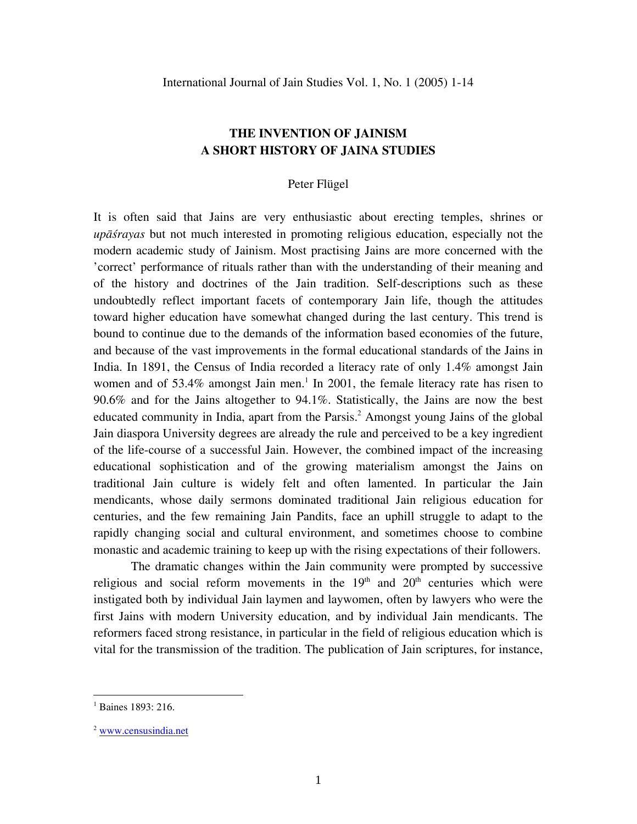## **THE INVENTION OF JAINISM A SHORT HISTORY OF JAINA STUDIES**

## Peter Flügel

It is often said that Jains are very enthusiastic about erecting temples, shrines or *upāśrayas* but not much interested in promoting religious education, especially not the modern academic study of Jainism. Most practising Jains are more concerned with the 'correct' performance of rituals rather than with the understanding of their meaning and of the history and doctrines of the Jain tradition. Self-descriptions such as these undoubtedly reflect important facets of contemporary Jain life, though the attitudes toward higher education have somewhat changed during the last century. This trend is bound to continue due to the demands of the information based economies of the future, and because of the vast improvements in the formal educational standards of the Jains in India. In 1891, the Census of India recorded a literacy rate of only 1.4% amongst Jain women and of 53.4% amongst Jain men.<sup>[1](#page-0-0)</sup> In 2001, the female literacy rate has risen to 90.6% and for the Jains altogether to 94.1%. Statistically, the Jains are now the best educated community in India, apart from the Parsis.<sup>[2](#page-0-1)</sup> Amongst young Jains of the global Jain diaspora University degrees are already the rule and perceived to be a key ingredient of the life-course of a successful Jain. However, the combined impact of the increasing educational sophistication and of the growing materialism amongst the Jains on traditional Jain culture is widely felt and often lamented. In particular the Jain mendicants, whose daily sermons dominated traditional Jain religious education for centuries, and the few remaining Jain Pandits, face an uphill struggle to adapt to the rapidly changing social and cultural environment, and sometimes choose to combine monastic and academic training to keep up with the rising expectations of their followers.

The dramatic changes within the Jain community were prompted by successive religious and social reform movements in the  $19<sup>th</sup>$  and  $20<sup>th</sup>$  centuries which were instigated both by individual Jain laymen and laywomen, often by lawyers who were the first Jains with modern University education, and by individual Jain mendicants. The reformers faced strong resistance, in particular in the field of religious education which is vital for the transmission of the tradition. The publication of Jain scriptures, for instance,

<span id="page-0-0"></span> $^{1}$  Baines 1893: 216.

<span id="page-0-1"></span><sup>2</sup> [www.censusindia.net](http://www.censusindia.net/)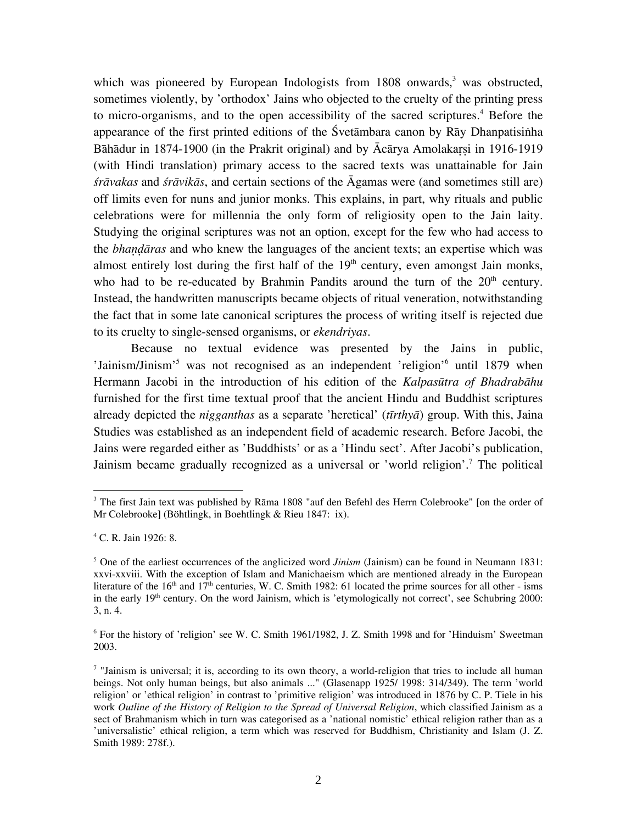which was pioneered by European Indologists from  $1808$  onwards,<sup>[3](#page-1-0)</sup> was obstructed, sometimes violently, by 'orthodox' Jains who objected to the cruelty of the printing press to micro-organisms, and to the open accessibility of the sacred scriptures.<sup>4</sup> Before the appearance of the first printed editions of the Śvetāmbara canon by Rāy Dhanpatisinha Bāhādur in 1874-1900 (in the Prakrit original) and by  $\bar{A}c\bar{a}r$ ya Amolakarsi in 1916-1919 (with Hindi translation) primary access to the sacred texts was unattainable for Jain *śrāvakas* and *śrāvikās*, and certain sections of the Āgamas were (and sometimes still are) off limits even for nuns and junior monks. This explains, in part, why rituals and public celebrations were for millennia the only form of religiosity open to the Jain laity. Studying the original scriptures was not an option, except for the few who had access to the *bhandaras* and who knew the languages of the ancient texts; an expertise which was almost entirely lost during the first half of the  $19<sup>th</sup>$  century, even amongst Jain monks, who had to be re-educated by Brahmin Pandits around the turn of the  $20<sup>th</sup>$  century. Instead, the handwritten manuscripts became objects of ritual veneration, notwithstanding the fact that in some late canonical scriptures the process of writing itself is rejected due to its cruelty to single-sensed organisms, or *ekendriyas*.

Because no textual evidence was presented by the Jains in public, 'Jainism/Jinism'<sup>5</sup> was not recognised as an independent 'religion'<sup>[6](#page-1-3)</sup> until 1879 when Hermann Jacobi in the introduction of his edition of the *Kalpasūtra of Bhadrabāhu* furnished for the first time textual proof that the ancient Hindu and Buddhist scriptures already depicted the *nigganthas* as a separate 'heretical' (*tīrthyā*) group. With this, Jaina Studies was established as an independent field of academic research. Before Jacobi, the Jains were regarded either as 'Buddhists' or as a 'Hindu sect'. After Jacobi's publication, Jainism became gradually recognized as a universal or 'world religion'.<sup>[7](#page-1-4)</sup> The political

<u>.</u>

<span id="page-1-0"></span><sup>&</sup>lt;sup>3</sup> The first Jain text was published by Rāma 1808 "auf den Befehl des Herrn Colebrooke" [on the order of Mr Colebrooke] (Böhtlingk, in Boehtlingk & Rieu 1847: ix).

<span id="page-1-1"></span><sup>4</sup> C. R. Jain 1926: 8.

<span id="page-1-2"></span><sup>&</sup>lt;sup>5</sup> One of the earliest occurrences of the anglicized word *Jinism* (Jainism) can be found in Neumann 1831: xxvi-xxviii. With the exception of Islam and Manichaeism which are mentioned already in the European literature of the 16<sup>th</sup> and 17<sup>th</sup> centuries, W. C. Smith 1982: 61 located the prime sources for all other - isms in the early  $19<sup>th</sup>$  century. On the word Jainism, which is 'etymologically not correct', see Schubring 2000: 3, n. 4.

<span id="page-1-3"></span><sup>&</sup>lt;sup>6</sup> For the history of 'religion' see W. C. Smith 1961/1982, J. Z. Smith 1998 and for 'Hinduism' Sweetman 2003.

<span id="page-1-4"></span> $<sup>7</sup>$  "Jainism is universal; it is, according to its own theory, a world-religion that tries to include all human</sup> beings. Not only human beings, but also animals ..." (Glasenapp 1925/ 1998: 314/349). The term 'world religion' or 'ethical religion' in contrast to 'primitive religion' was introduced in 1876 by C. P. Tiele in his work *Outline of the History of Religion to the Spread of Universal Religion*, which classified Jainism as a sect of Brahmanism which in turn was categorised as a 'national nomistic' ethical religion rather than as a 'universalistic' ethical religion, a term which was reserved for Buddhism, Christianity and Islam (J. Z. Smith 1989: 278f.).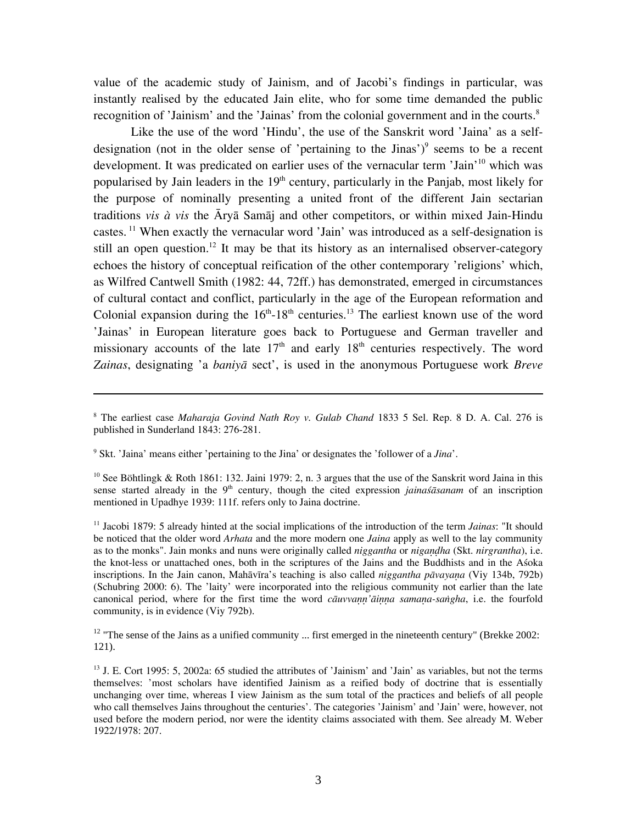value of the academic study of Jainism, and of Jacobi's findings in particular, was instantly realised by the educated Jain elite, who for some time demanded the public recognition of 'Jainism' and the 'Jainas' from the colonial government and in the courts.<sup>[8](#page-2-0)</sup>

Like the use of the word 'Hindu', the use of the Sanskrit word 'Jaina' as a selfdesignation (not in the older sense of 'pertaining to the Jinas') $\degree$  seems to be a recent development. It was predicated on earlier uses of the vernacular term 'Jain'<sup>10</sup> which was popularised by Jain leaders in the  $19<sup>th</sup>$  century, particularly in the Panjab, most likely for the purpose of nominally presenting a united front of the different Jain sectarian traditions *vis à vis* the Āryā Samāj and other competitors, or within mixed Jain-Hindu castes.<sup>11</sup> When exactly the vernacular word 'Jain' was introduced as a self-designation is still an open question.<sup>12</sup> It may be that its history as an internalised observer-category echoes the history of conceptual reification of the other contemporary 'religions' which, as Wilfred Cantwell Smith (1982: 44, 72ff.) has demonstrated, emerged in circumstances of cultural contact and conflict, particularly in the age of the European reformation and Colonial expansion during the  $16<sup>th</sup> - 18<sup>th</sup>$  centuries.<sup>13</sup> The earliest known use of the word 'Jainas' in European literature goes back to Portuguese and German traveller and missionary accounts of the late  $17<sup>th</sup>$  and early  $18<sup>th</sup>$  centuries respectively. The word *Zainas*, designating 'a *baniyā* sect', is used in the anonymous Portuguese work *Breve* 

<span id="page-2-1"></span>9 Skt. 'Jaina' means either 'pertaining to the Jina' or designates the 'follower of a *Jina*'.

 $\overline{a}$ 

<span id="page-2-2"></span><sup>10</sup> See Böhtlingk & Roth 1861: 132. Jaini 1979: 2, n. 3 argues that the use of the Sanskrit word Jaina in this sense started already in the 9<sup>th</sup> century, though the cited expression *jainaśāsanam* of an inscription mentioned in Upadhye 1939: 111f. refers only to Jaina doctrine.

<span id="page-2-3"></span>11 Jacobi 1879: 5 already hinted at the social implications of the introduction of the term *Jainas*: "It should be noticed that the older word *Arhata* and the more modern one *Jaina* apply as well to the lay community as to the monks". Jain monks and nuns were originally called *niggantha* or *nigandha* (Skt. *nirgrantha*), i.e. the knot-less or unattached ones, both in the scriptures of the Jains and the Buddhists and in the Aśoka inscriptions. In the Jain canon, Mahāvīra's teaching is also called *niggantha pāvayana* (Viy 134b, 792b) (Schubring 2000: 6). The 'laity' were incorporated into the religious community not earlier than the late canonical period, where for the first time the word *cauvvann'ainna samana-sangha*, i.e. the fourfold community, is in evidence (Viy 792b).

<span id="page-2-4"></span><sup>12</sup> "The sense of the Jains as a unified community ... first emerged in the nineteenth century" (Brekke 2002: 121).

<span id="page-2-0"></span><sup>8</sup> The earliest case *Maharaja Govind Nath Roy v. Gulab Chand* 1833 5 Sel. Rep. 8 D. A. Cal. 276 is published in Sunderland 1843: 276-281.

<span id="page-2-5"></span> $13$  J. E. Cort 1995: 5, 2002a: 65 studied the attributes of 'Jainism' and 'Jain' as variables, but not the terms themselves: 'most scholars have identified Jainism as a reified body of doctrine that is essentially unchanging over time, whereas I view Jainism as the sum total of the practices and beliefs of all people who call themselves Jains throughout the centuries'. The categories 'Jainism' and 'Jain' were, however, not used before the modern period, nor were the identity claims associated with them. See already M. Weber 1922/1978: 207.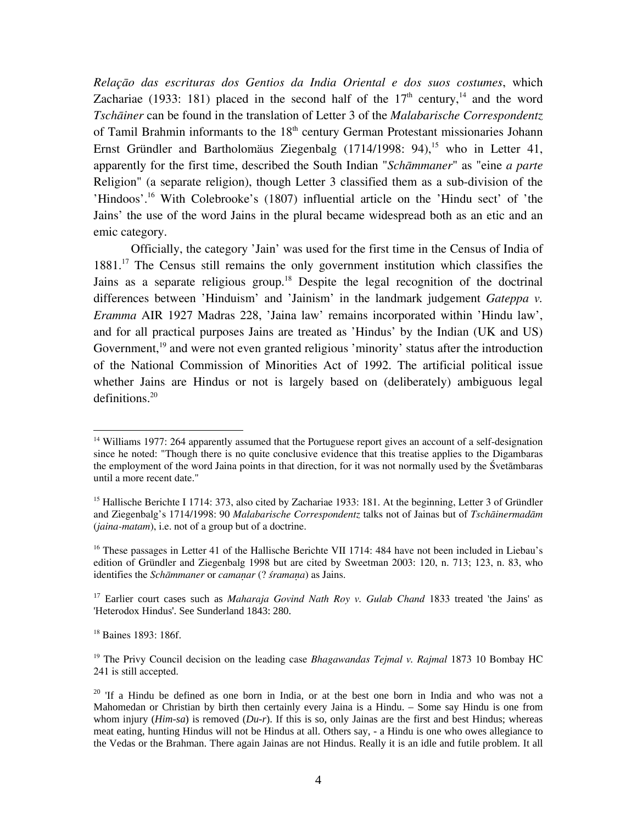*Relaçāo das escrituras dos Gentios da India Oriental e dos suos costumes*, which Zachariae (1933: 181) placed in the second half of the  $17<sup>th</sup>$  century,<sup>14</sup> and the word *Tschāiner* can be found in the translation of Letter 3 of the *Malabarische Correspondentz* of Tamil Brahmin informants to the 18<sup>th</sup> century German Protestant missionaries Johann Ernst Gründler and Bartholomäus Ziegenbalg  $(1714/1998: 94)$ ,<sup>15</sup> who in Letter 41, apparently for the first time, described the South Indian "*Schāmmaner*" as "eine *a parte* Religion" (a separate religion), though Letter 3 classified them as a sub-division of the 'Hindoos'.[16](#page-3-2) With Colebrooke's (1807) influential article on the 'Hindu sect' of 'the Jains' the use of the word Jains in the plural became widespread both as an etic and an emic category.

Officially, the category 'Jain' was used for the first time in the Census of India of 1881.[17](#page-3-3) The Census still remains the only government institution which classifies the Jains as a separate religious group.<sup>18</sup> Despite the legal recognition of the doctrinal differences between 'Hinduism' and 'Jainism' in the landmark judgement *Gateppa v. Eramma* AIR 1927 Madras 228, 'Jaina law' remains incorporated within 'Hindu law', and for all practical purposes Jains are treated as 'Hindus' by the Indian (UK and US) Government,<sup>19</sup> and were not even granted religious 'minority' status after the introduction of the National Commission of Minorities Act of 1992. The artificial political issue whether Jains are Hindus or not is largely based on (deliberately) ambiguous legal  $definitions.<sup>20</sup>$  $definitions.<sup>20</sup>$  $definitions.<sup>20</sup>$ 

<span id="page-3-3"></span><sup>17</sup> Earlier court cases such as *Maharaja Govind Nath Roy v. Gulab Chand* 1833 treated 'the Jains' as 'Heterodox Hindus'. See Sunderland 1843: 280.

<span id="page-3-4"></span><sup>18</sup> Baines 1893: 186f.

<span id="page-3-0"></span><sup>&</sup>lt;sup>14</sup> Williams 1977: 264 apparently assumed that the Portuguese report gives an account of a self-designation since he noted: "Though there is no quite conclusive evidence that this treatise applies to the Digambaras the employment of the word Jaina points in that direction, for it was not normally used by the Śvetāmbaras until a more recent date."

<span id="page-3-1"></span><sup>&</sup>lt;sup>15</sup> Hallische Berichte I 1714: 373, also cited by Zachariae 1933: 181. At the beginning, Letter 3 of Gründler and Ziegenbalg's 1714/1998: 90 *Malabarische Correspondentz* talks not of Jainas but of *Tschāinermadām* (*jaina-matam*), i.e. not of a group but of a doctrine.

<span id="page-3-2"></span><sup>&</sup>lt;sup>16</sup> These passages in Letter 41 of the Hallische Berichte VII 1714: 484 have not been included in Liebau's edition of Gründler and Ziegenbalg 1998 but are cited by Sweetman 2003: 120, n. 713; 123, n. 83, who identifies the *Schāmmaner* or *camanar* (? *śramana*) as Jains.

<span id="page-3-5"></span><sup>19</sup> The Privy Council decision on the leading case *Bhagawandas Tejmal v. Rajmal* 1873 10 Bombay HC 241 is still accepted.

<span id="page-3-6"></span><sup>&</sup>lt;sup>20</sup> 'If a Hindu be defined as one born in India, or at the best one born in India and who was not a Mahomedan or Christian by birth then certainly every Jaina is a Hindu. – Some say Hindu is one from whom injury (*Him-sa*) is removed (*Du-r*). If this is so, only Jainas are the first and best Hindus; whereas meat eating, hunting Hindus will not be Hindus at all. Others say, - a Hindu is one who owes allegiance to the Vedas or the Brahman. There again Jainas are not Hindus. Really it is an idle and futile problem. It all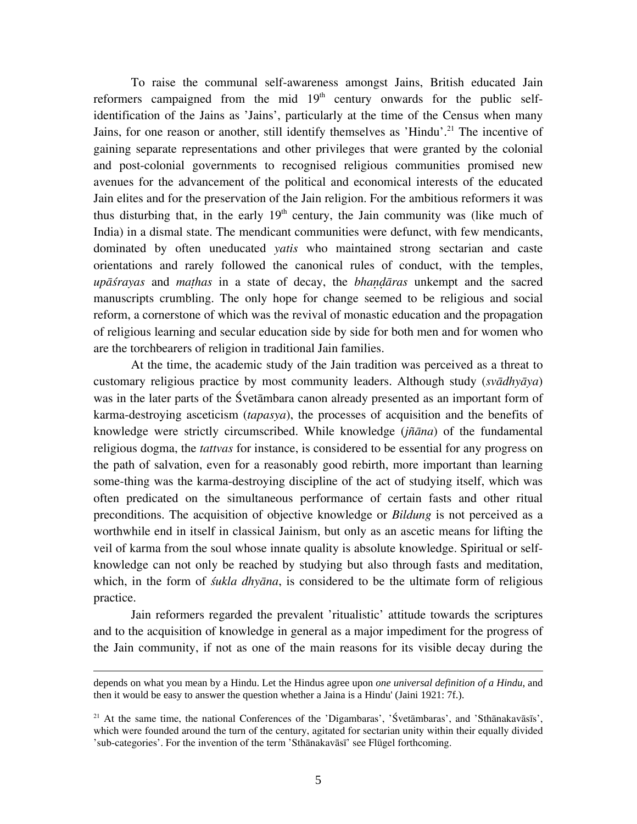To raise the communal self-awareness amongst Jains, British educated Jain reformers campaigned from the mid  $19<sup>th</sup>$  century onwards for the public selfidentification of the Jains as 'Jains', particularly at the time of the Census when many Jains, for one reason or another, still identify themselves as 'Hindu'.<sup>21</sup> The incentive of gaining separate representations and other privileges that were granted by the colonial and post-colonial governments to recognised religious communities promised new avenues for the advancement of the political and economical interests of the educated Jain elites and for the preservation of the Jain religion. For the ambitious reformers it was thus disturbing that, in the early  $19<sup>th</sup>$  century, the Jain community was (like much of India) in a dismal state. The mendicant communities were defunct, with few mendicants, dominated by often uneducated *yatis* who maintained strong sectarian and caste orientations and rarely followed the canonical rules of conduct, with the temples, *upāśrayas* and *mathas* in a state of decay, the *bhandāras* unkempt and the sacred manuscripts crumbling. The only hope for change seemed to be religious and social reform, a cornerstone of which was the revival of monastic education and the propagation of religious learning and secular education side by side for both men and for women who are the torchbearers of religion in traditional Jain families.

At the time, the academic study of the Jain tradition was perceived as a threat to customary religious practice by most community leaders. Although study (*svādhyāya*) was in the later parts of the Śvetāmbara canon already presented as an important form of karma-destroying asceticism (*tapasya*), the processes of acquisition and the benefits of knowledge were strictly circumscribed. While knowledge (*jñāna*) of the fundamental religious dogma, the *tattvas* for instance, is considered to be essential for any progress on the path of salvation, even for a reasonably good rebirth, more important than learning some-thing was the karma-destroying discipline of the act of studying itself, which was often predicated on the simultaneous performance of certain fasts and other ritual preconditions. The acquisition of objective knowledge or *Bildung* is not perceived as a worthwhile end in itself in classical Jainism, but only as an ascetic means for lifting the veil of karma from the soul whose innate quality is absolute knowledge. Spiritual or selfknowledge can not only be reached by studying but also through fasts and meditation, which, in the form of *śukla dhyāna*, is considered to be the ultimate form of religious practice.

Jain reformers regarded the prevalent 'ritualistic' attitude towards the scriptures and to the acquisition of knowledge in general as a major impediment for the progress of the Jain community, if not as one of the main reasons for its visible decay during the

depends on what you mean by a Hindu. Let the Hindus agree upon *one universal definition of a Hindu*, and then it would be easy to answer the question whether a Jaina is a Hindu' (Jaini 1921: 7f.).

<span id="page-4-0"></span><sup>&</sup>lt;sup>21</sup> At the same time, the national Conferences of the 'Digambaras', 'Śvetāmbaras', and 'Sthānakavāsīs', which were founded around the turn of the century, agitated for sectarian unity within their equally divided 'sub-categories'. For the invention of the term 'Sthānakavāsī' see Flügel forthcoming.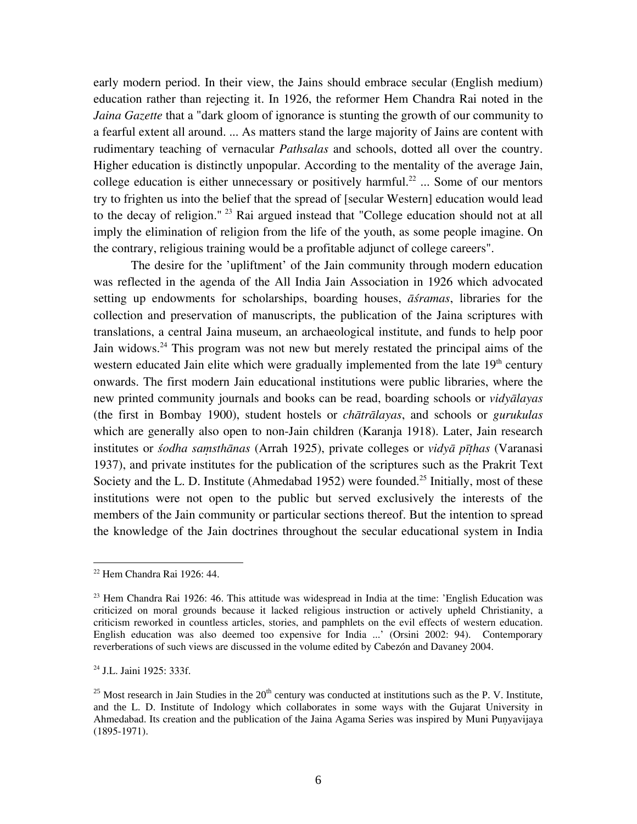early modern period. In their view, the Jains should embrace secular (English medium) education rather than rejecting it. In 1926, the reformer Hem Chandra Rai noted in the *Jaina Gazette* that a "dark gloom of ignorance is stunting the growth of our community to a fearful extent all around. ... As matters stand the large majority of Jains are content with rudimentary teaching of vernacular *Pathsalas* and schools, dotted all over the country. Higher education is distinctly unpopular. According to the mentality of the average Jain, college education is either unnecessary or positively harmful.<sup>22</sup> ... Some of our mentors try to frighten us into the belief that the spread of [secular Western] education would lead to the decay of religion."<sup>23</sup> Rai argued instead that "College education should not at all imply the elimination of religion from the life of the youth, as some people imagine. On the contrary, religious training would be a profitable adjunct of college careers".

The desire for the 'upliftment' of the Jain community through modern education was reflected in the agenda of the All India Jain Association in 1926 which advocated setting up endowments for scholarships, boarding houses, *āśramas*, libraries for the collection and preservation of manuscripts, the publication of the Jaina scriptures with translations, a central Jaina museum, an archaeological institute, and funds to help poor Jain widows.<sup>24</sup> This program was not new but merely restated the principal aims of the western educated Jain elite which were gradually implemented from the late  $19<sup>th</sup>$  century onwards. The first modern Jain educational institutions were public libraries, where the new printed community journals and books can be read, boarding schools or *vidyālayas* (the first in Bombay 1900), student hostels or *chātrālayas*, and schools or *gurukulas* which are generally also open to non-Jain children (Karanja 1918). Later, Jain research institutes or *śodha samsthānas* (Arrah 1925), private colleges or *vidyā pīthas* (Varanasi 1937), and private institutes for the publication of the scriptures such as the Prakrit Text Society and the L. D. Institute (Ahmedabad 1952) were founded.<sup>25</sup> Initially, most of these institutions were not open to the public but served exclusively the interests of the members of the Jain community or particular sections thereof. But the intention to spread the knowledge of the Jain doctrines throughout the secular educational system in India

<span id="page-5-0"></span> $22$  Hem Chandra Rai 1926: 44.

<span id="page-5-1"></span> $^{23}$  Hem Chandra Rai 1926: 46. This attitude was widespread in India at the time: 'English Education was criticized on moral grounds because it lacked religious instruction or actively upheld Christianity, a criticism reworked in countless articles, stories, and pamphlets on the evil effects of western education. English education was also deemed too expensive for India ...' (Orsini 2002: 94). Contemporary reverberations of such views are discussed in the volume edited by Cabezón and Davaney 2004.

<span id="page-5-2"></span><sup>&</sup>lt;sup>24</sup> J.L. Jaini 1925: 333f.

<span id="page-5-3"></span><sup>&</sup>lt;sup>25</sup> Most research in Jain Studies in the  $20<sup>th</sup>$  century was conducted at institutions such as the P. V. Institute, and the L. D. Institute of Indology which collaborates in some ways with the Gujarat University in Ahmedabad. Its creation and the publication of the Jaina Agama Series was inspired by Muni Punyavijaya (1895-1971).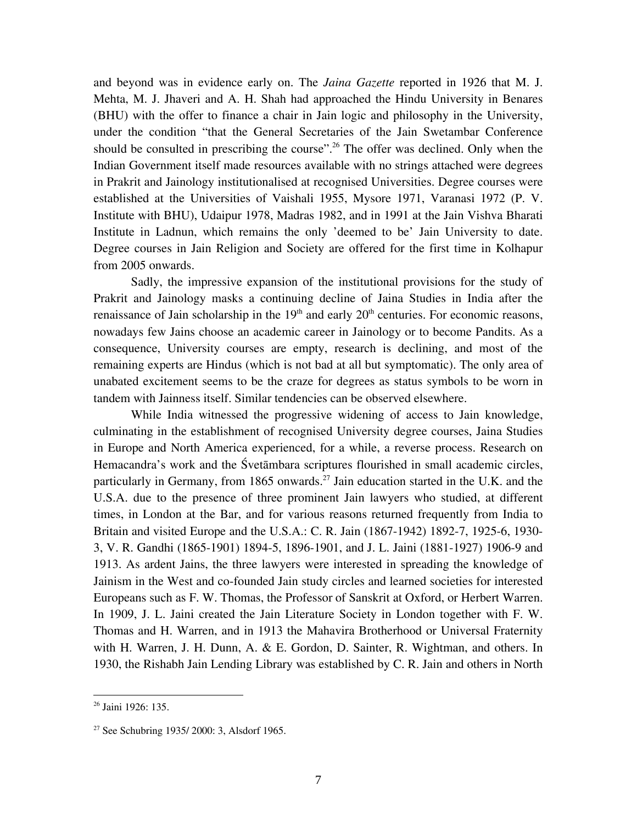and beyond was in evidence early on. The *Jaina Gazette* reported in 1926 that M. J. Mehta, M. J. Jhaveri and A. H. Shah had approached the Hindu University in Benares (BHU) with the offer to finance a chair in Jain logic and philosophy in the University, under the condition "that the General Secretaries of the Jain Swetambar Conference should be consulted in prescribing the course".<sup>26</sup> The offer was declined. Only when the Indian Government itself made resources available with no strings attached were degrees in Prakrit and Jainology institutionalised at recognised Universities. Degree courses were established at the Universities of Vaishali 1955, Mysore 1971, Varanasi 1972 (P. V. Institute with BHU), Udaipur 1978, Madras 1982, and in 1991 at the Jain Vishva Bharati Institute in Ladnun, which remains the only 'deemed to be' Jain University to date. Degree courses in Jain Religion and Society are offered for the first time in Kolhapur from 2005 onwards.

Sadly, the impressive expansion of the institutional provisions for the study of Prakrit and Jainology masks a continuing decline of Jaina Studies in India after the renaissance of Jain scholarship in the  $19<sup>th</sup>$  and early  $20<sup>th</sup>$  centuries. For economic reasons, nowadays few Jains choose an academic career in Jainology or to become Pandits. As a consequence, University courses are empty, research is declining, and most of the remaining experts are Hindus (which is not bad at all but symptomatic). The only area of unabated excitement seems to be the craze for degrees as status symbols to be worn in tandem with Jainness itself. Similar tendencies can be observed elsewhere.

While India witnessed the progressive widening of access to Jain knowledge, culminating in the establishment of recognised University degree courses, Jaina Studies in Europe and North America experienced, for a while, a reverse process. Research on Hemacandra's work and the Śvetāmbara scriptures flourished in small academic circles, particularly in Germany, from 1865 onwards.<sup>27</sup> Jain education started in the U.K. and the U.S.A. due to the presence of three prominent Jain lawyers who studied, at different times, in London at the Bar, and for various reasons returned frequently from India to Britain and visited Europe and the U.S.A.: C. R. Jain (1867-1942) 1892-7, 1925-6, 1930- 3, V. R. Gandhi (1865-1901) 1894-5, 1896-1901, and J. L. Jaini (1881-1927) 1906-9 and 1913. As ardent Jains, the three lawyers were interested in spreading the knowledge of Jainism in the West and co-founded Jain study circles and learned societies for interested Europeans such as F. W. Thomas, the Professor of Sanskrit at Oxford, or Herbert Warren. In 1909, J. L. Jaini created the Jain Literature Society in London together with F. W. Thomas and H. Warren, and in 1913 the Mahavira Brotherhood or Universal Fraternity with H. Warren, J. H. Dunn, A. & E. Gordon, D. Sainter, R. Wightman, and others. In 1930, the Rishabh Jain Lending Library was established by C. R. Jain and others in North

1

<span id="page-6-0"></span><sup>26</sup> Jaini 1926: 135.

<span id="page-6-1"></span><sup>27</sup> See Schubring 1935/ 2000: 3, Alsdorf 1965.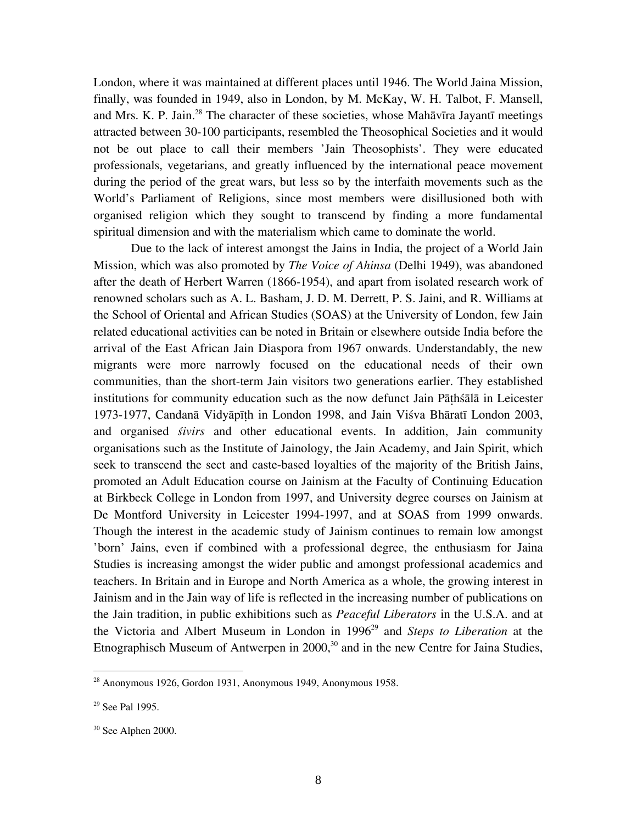London, where it was maintained at different places until 1946. The World Jaina Mission, finally, was founded in 1949, also in London, by M. McKay, W. H. Talbot, F. Mansell, and Mrs. K. P. Jain.<sup>28</sup> The character of these societies, whose Mahāvīra Jayantī meetings attracted between 30-100 participants, resembled the Theosophical Societies and it would not be out place to call their members 'Jain Theosophists'. They were educated professionals, vegetarians, and greatly influenced by the international peace movement during the period of the great wars, but less so by the interfaith movements such as the World's Parliament of Religions, since most members were disillusioned both with organised religion which they sought to transcend by finding a more fundamental spiritual dimension and with the materialism which came to dominate the world.

Due to the lack of interest amongst the Jains in India, the project of a World Jain Mission, which was also promoted by *The Voice of Ahinsa* (Delhi 1949), was abandoned after the death of Herbert Warren (1866-1954), and apart from isolated research work of renowned scholars such as A. L. Basham, J. D. M. Derrett, P. S. Jaini, and R. Williams at the School of Oriental and African Studies (SOAS) at the University of London, few Jain related educational activities can be noted in Britain or elsewhere outside India before the arrival of the East African Jain Diaspora from 1967 onwards. Understandably, the new migrants were more narrowly focused on the educational needs of their own communities, than the short-term Jain visitors two generations earlier. They established institutions for community education such as the now defunct Jain Pāñhśālā in Leicester 1973-1977, Candanā Vidyāpīñh in London 1998, and Jain Viśva Bhāratī London 2003, and organised *śivirs* and other educational events. In addition, Jain community organisations such as the Institute of Jainology, the Jain Academy, and Jain Spirit, which seek to transcend the sect and caste-based loyalties of the majority of the British Jains, promoted an Adult Education course on Jainism at the Faculty of Continuing Education at Birkbeck College in London from 1997, and University degree courses on Jainism at De Montford University in Leicester 1994-1997, and at SOAS from 1999 onwards. Though the interest in the academic study of Jainism continues to remain low amongst 'born' Jains, even if combined with a professional degree, the enthusiasm for Jaina Studies is increasing amongst the wider public and amongst professional academics and teachers. In Britain and in Europe and North America as a whole, the growing interest in Jainism and in the Jain way of life is reflected in the increasing number of publications on the Jain tradition, in public exhibitions such as *Peaceful Liberators* in the U.S.A. and at the Victoria and Albert Museum in London in 1996<sup>29</sup> and *Steps to Liberation* at the Etnographisch Museum of Antwerpen in  $2000$ ,<sup>30</sup> and in the new Centre for Jaina Studies,

<span id="page-7-0"></span> $2<sup>28</sup>$  Anonymous 1926, Gordon 1931, Anonymous 1949, Anonymous 1958.

<span id="page-7-1"></span> $29$  See Pal 1995.

<span id="page-7-2"></span><sup>30</sup> See Alphen 2000.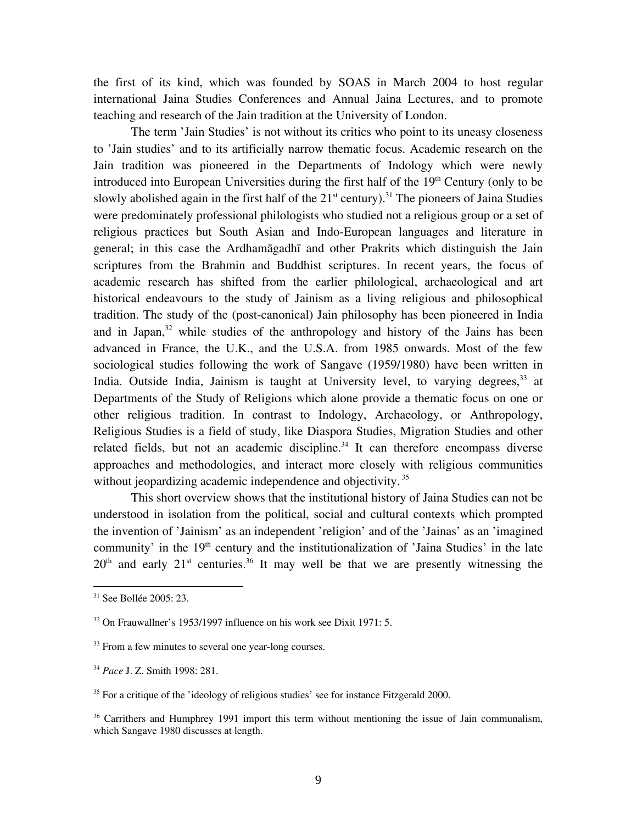the first of its kind, which was founded by SOAS in March 2004 to host regular international Jaina Studies Conferences and Annual Jaina Lectures, and to promote teaching and research of the Jain tradition at the University of London.

The term 'Jain Studies' is not without its critics who point to its uneasy closeness to 'Jain studies' and to its artificially narrow thematic focus. Academic research on the Jain tradition was pioneered in the Departments of Indology which were newly introduced into European Universities during the first half of the  $19<sup>th</sup>$  Century (only to be slowly abolished again in the first half of the  $21<sup>st</sup>$  century).<sup>31</sup> The pioneers of Jaina Studies were predominately professional philologists who studied not a religious group or a set of religious practices but South Asian and Indo-European languages and literature in general; in this case the Ardhamāgadhī and other Prakrits which distinguish the Jain scriptures from the Brahmin and Buddhist scriptures. In recent years, the focus of academic research has shifted from the earlier philological, archaeological and art historical endeavours to the study of Jainism as a living religious and philosophical tradition. The study of the (post-canonical) Jain philosophy has been pioneered in India and in Japan, $32$  while studies of the anthropology and history of the Jains has been advanced in France, the U.K., and the U.S.A. from 1985 onwards. Most of the few sociological studies following the work of Sangave (1959/1980) have been written in India. Outside India, Jainism is taught at University level, to varying degrees,<sup>33</sup> at Departments of the Study of Religions which alone provide a thematic focus on one or other religious tradition. In contrast to Indology, Archaeology, or Anthropology, Religious Studies is a field of study, like Diaspora Studies, Migration Studies and other related fields, but not an academic discipline.<sup>34</sup> It can therefore encompass diverse approaches and methodologies, and interact more closely with religious communities without jeopardizing academic independence and objectivity.<sup>35</sup>

This short overview shows that the institutional history of Jaina Studies can not be understood in isolation from the political, social and cultural contexts which prompted the invention of 'Jainism' as an independent 'religion' and of the 'Jainas' as an 'imagined community' in the  $19<sup>th</sup>$  century and the institutionalization of 'Jaina Studies' in the late  $20<sup>th</sup>$  and early  $21<sup>st</sup>$  centuries.<sup>36</sup> It may well be that we are presently witnessing the

<span id="page-8-0"></span> $31$  See Bollée 2005: 23.

<span id="page-8-1"></span><sup>&</sup>lt;sup>32</sup> On Frauwallner's 1953/1997 influence on his work see Dixit 1971: 5.

<span id="page-8-2"></span><sup>&</sup>lt;sup>33</sup> From a few minutes to several one year-long courses.

<span id="page-8-3"></span><sup>34</sup> *Pace* J. Z. Smith 1998: 281.

<span id="page-8-4"></span> $35$  For a critique of the 'ideology of religious studies' see for instance Fitzgerald 2000.

<span id="page-8-5"></span><sup>&</sup>lt;sup>36</sup> Carrithers and Humphrey 1991 import this term without mentioning the issue of Jain communalism, which Sangave 1980 discusses at length.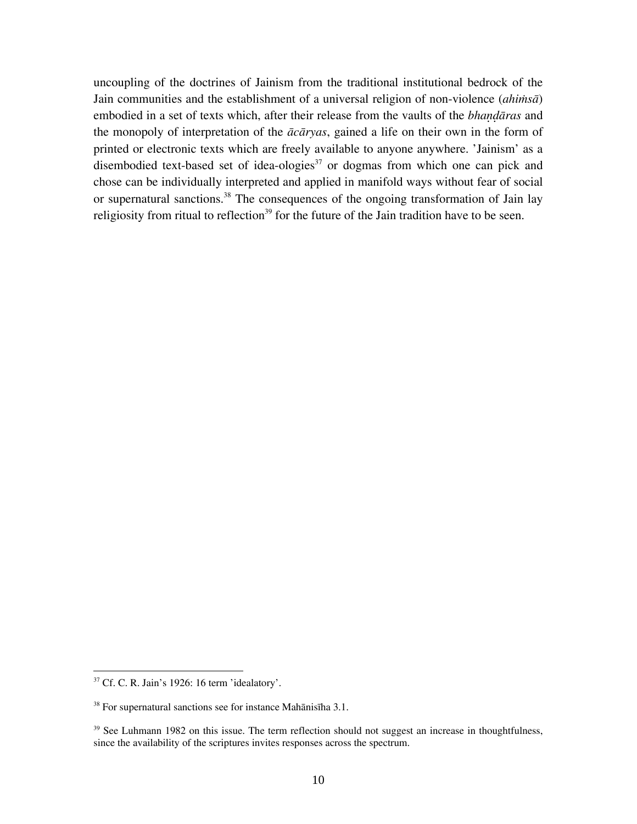uncoupling of the doctrines of Jainism from the traditional institutional bedrock of the Jain communities and the establishment of a universal religion of non-violence  $(ahim\bar{s}\bar{a})$ embodied in a set of texts which, after their release from the vaults of the *bhandaras* and the monopoly of interpretation of the *ācāryas*, gained a life on their own in the form of printed or electronic texts which are freely available to anyone anywhere. 'Jainism' as a disembodied text-based set of idea-ologies $37$  or dogmas from which one can pick and chose can be individually interpreted and applied in manifold ways without fear of social or supernatural sanctions.<sup>38</sup> The consequences of the ongoing transformation of Jain lay religiosity from ritual to reflection<sup>39</sup> for the future of the Jain tradition have to be seen.

1

<span id="page-9-0"></span> $37$  Cf. C. R. Jain's 1926: 16 term 'idealatory'.

<span id="page-9-1"></span> $38$  For supernatural sanctions see for instance Mahānisīha 3.1.

<span id="page-9-2"></span> $39$  See Luhmann 1982 on this issue. The term reflection should not suggest an increase in thoughtfulness, since the availability of the scriptures invites responses across the spectrum.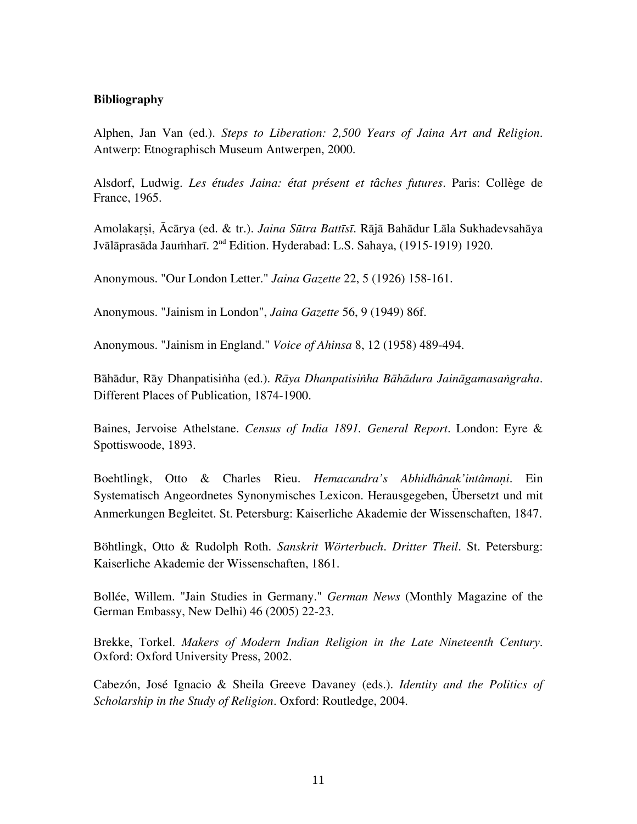## **Bibliography**

Alphen, Jan Van (ed.). *Steps to Liberation: 2,500 Years of Jaina Art and Religion*. Antwerp: Etnographisch Museum Antwerpen, 2000.

Alsdorf, Ludwig. *Les études Jaina: état présent et tâches futures*. Paris: Collège de France, 1965.

Amolakaçùi, Ācārya (ed. & tr.). *Jaina Sūtra Battīsī*. Rājā Bahādur Lāla Sukhadevsahāya Jvālāprasāda Jaumharī. 2<sup>nd</sup> Edition. Hyderabad: L.S. Sahaya, (1915-1919) 1920.

Anonymous. "Our London Letter." *Jaina Gazette* 22, 5 (1926) 158-161.

Anonymous. "Jainism in London", *Jaina Gazette* 56, 9 (1949) 86f.

Anonymous. "Jainism in England." *Voice of Ahinsa* 8, 12 (1958) 489-494.

Bāhādur, Rāy Dhanpatisiïha (ed.). *Rāya Dhanpatisiïha Bāhādura Jaināgamasaïgraha*. Different Places of Publication, 1874-1900.

Baines, Jervoise Athelstane. *Census of India 1891. General Report*. London: Eyre & Spottiswoode, 1893.

Boehtlingk, Otto & Charles Rieu. *Hemacandra's Abhidhânak'intâmani*. Ein Systematisch Angeordnetes Synonymisches Lexicon. Herausgegeben, Übersetzt und mit Anmerkungen Begleitet. St. Petersburg: Kaiserliche Akademie der Wissenschaften, 1847.

Böhtlingk, Otto & Rudolph Roth. *Sanskrit Wörterbuch*. *Dritter Theil*. St. Petersburg: Kaiserliche Akademie der Wissenschaften, 1861.

Bollée, Willem. "Jain Studies in Germany." *German News* (Monthly Magazine of the German Embassy, New Delhi) 46 (2005) 22-23.

Brekke, Torkel. *Makers of Modern Indian Religion in the Late Nineteenth Century*. Oxford: Oxford University Press, 2002.

Cabezón, José Ignacio & Sheila Greeve Davaney (eds.). *Identity and the Politics of Scholarship in the Study of Religion*. Oxford: Routledge, 2004.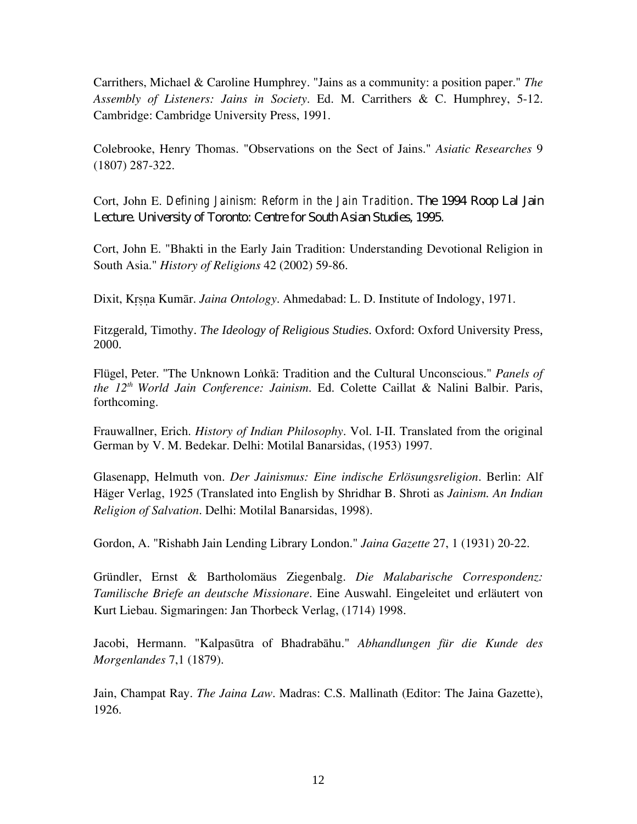Carrithers, Michael & Caroline Humphrey. "Jains as a community: a position paper." *The Assembly of Listeners: Jains in Society*. Ed. M. Carrithers & C. Humphrey, 5-12. Cambridge: Cambridge University Press, 1991.

Colebrooke, Henry Thomas. "Observations on the Sect of Jains." *Asiatic Researches* 9 (1807) 287-322.

Cort, John E. *Defining Jainism: Reform in the Jain Tradition*. The 1994 Roop Lal Jain Lecture. University of Toronto: Centre for South Asian Studies, 1995.

Cort, John E. "Bhakti in the Early Jain Tradition: Understanding Devotional Religion in South Asia." *History of Religions* 42 (2002) 59-86.

Dixit, Krsna Kumār. *Jaina Ontology*. Ahmedabad: L. D. Institute of Indology, 1971.

Fitzgerald, Timothy. *The Ideology of Religious Studies*. Oxford: Oxford University Press, 2000.

Flügel, Peter. "The Unknown Lonka: Tradition and the Cultural Unconscious." *Panels of the 12th World Jain Conference: Jainism*. Ed. Colette Caillat & Nalini Balbir. Paris, forthcoming.

Frauwallner, Erich. *History of Indian Philosophy*. Vol. I-II. Translated from the original German by V. M. Bedekar. Delhi: Motilal Banarsidas, (1953) 1997.

Glasenapp, Helmuth von. *Der Jainismus: Eine indische Erlösungsreligion*. Berlin: Alf Häger Verlag, 1925 (Translated into English by Shridhar B. Shroti as *Jainism. An Indian Religion of Salvation*. Delhi: Motilal Banarsidas, 1998).

Gordon, A. "Rishabh Jain Lending Library London." *Jaina Gazette* 27, 1 (1931) 20-22.

Gründler, Ernst & Bartholomäus Ziegenbalg. *Die Malabarische Correspondenz: Tamilische Briefe an deutsche Missionare*. Eine Auswahl. Eingeleitet und erläutert von Kurt Liebau. Sigmaringen: Jan Thorbeck Verlag, (1714) 1998.

Jacobi, Hermann. "Kalpasūtra of Bhadrabāhu." *Abhandlungen für die Kunde des Morgenlandes* 7,1 (1879).

Jain, Champat Ray. *The Jaina Law*. Madras: C.S. Mallinath (Editor: The Jaina Gazette), 1926.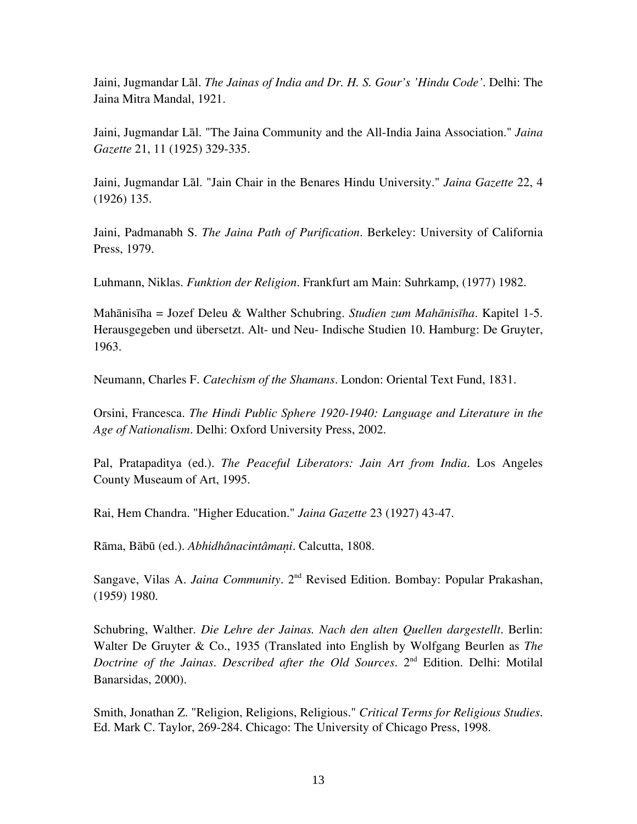Jaini, Jugmandar Lāl. *The Jainas of India and Dr. H. S. Gour's 'Hindu Code'*. Delhi: The Jaina Mitra Mandal, 1921.

Jaini, Jugmandar Lāl. "The Jaina Community and the All-India Jaina Association." *Jaina Gazette* 21, 11 (1925) 329-335.

Jaini, Jugmandar Lāl. "Jain Chair in the Benares Hindu University." *Jaina Gazette* 22, 4 (1926) 135.

Jaini, Padmanabh S. *The Jaina Path of Purification*. Berkeley: University of California Press, 1979.

Luhmann, Niklas. *Funktion der Religion*. Frankfurt am Main: Suhrkamp, (1977) 1982.

Mahānisīha = Jozef Deleu & Walther Schubring. *Studien zum Mahānisīha*. Kapitel 1-5. Herausgegeben und übersetzt. Alt- und Neu- Indische Studien 10. Hamburg: De Gruyter, 1963.

Neumann, Charles F. *Catechism of the Shamans*. London: Oriental Text Fund, 1831.

Orsini, Francesca. *The Hindi Public Sphere 1920-1940: Language and Literature in the Age of Nationalism*. Delhi: Oxford University Press, 2002.

Pal, Pratapaditya (ed.). *The Peaceful Liberators: Jain Art from India*. Los Angeles County Museaum of Art, 1995.

Rai, Hem Chandra. "Higher Education." *Jaina Gazette* 23 (1927) 43-47.

Rāma, Bābū (ed.). *Abhidhânacintâmani*. Calcutta, 1808.

Sangave, Vilas A. *Jaina Community*. 2<sup>nd</sup> Revised Edition. Bombay: Popular Prakashan, (1959) 1980.

Schubring, Walther. *Die Lehre der Jainas. Nach den alten Quellen dargestellt*. Berlin: Walter De Gruyter & Co., 1935 (Translated into English by Wolfgang Beurlen as *The Doctrine of the Jainas*. *Described after the Old Sources*. 2nd Edition. Delhi: Motilal Banarsidas, 2000).

Smith, Jonathan Z. "Religion, Religions, Religious." *Critical Terms for Religious Studies*. Ed. Mark C. Taylor, 269-284. Chicago: The University of Chicago Press, 1998.